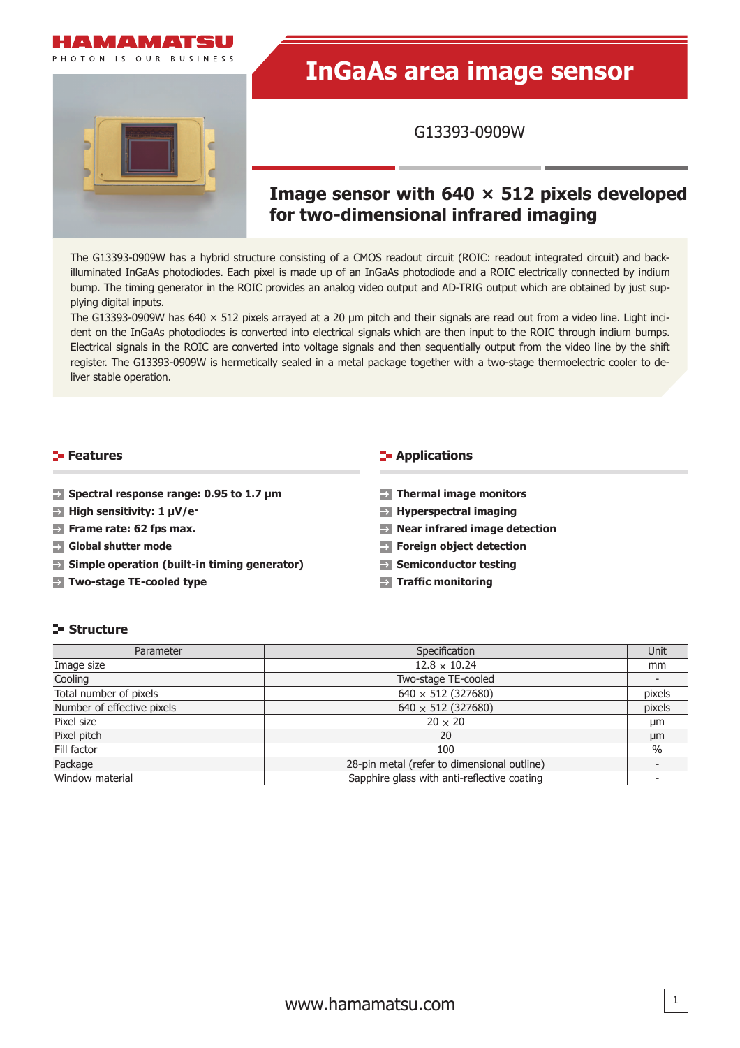

PHOTON IS OUR RUSINESS

# **InGaAs area image sensor**

G13393-0909W

## **Image sensor with 640 × 512 pixels developed for two-dimensional infrared imaging**

The G13393-0909W has a hybrid structure consisting of a CMOS readout circuit (ROIC: readout integrated circuit) and backilluminated InGaAs photodiodes. Each pixel is made up of an InGaAs photodiode and a ROIC electrically connected by indium bump. The timing generator in the ROIC provides an analog video output and AD-TRIG output which are obtained by just supplying digital inputs.

The G13393-0909W has 640  $\times$  512 pixels arrayed at a 20 µm pitch and their signals are read out from a video line. Light incident on the InGaAs photodiodes is converted into electrical signals which are then input to the ROIC through indium bumps. Electrical signals in the ROIC are converted into voltage signals and then sequentially output from the video line by the shift register. The G13393-0909W is hermetically sealed in a metal package together with a two-stage thermoelectric cooler to deliver stable operation.

### **Features**

- **Spectral response range: 0.95 to 1.7 μm**
- **High sensitivity: 1 μV/e-**
- **Frame rate: 62 fps max.**
- **Global shutter mode**
- **Simple operation (built-in timing generator)**
- **Two-stage TE-cooled type**

#### **F** Applications

- **Thermal image monitors**
- **Hyperspectral imaging**
- **Near infrared image detection**
- **Foreign object detection**
- **Semiconductor testing**
- **Traffic monitoring**

#### **Structure**

| Parameter                  | Specification                               | Unit   |
|----------------------------|---------------------------------------------|--------|
| Image size                 | $12.8 \times 10.24$                         | mm     |
| Cooling                    | Two-stage TE-cooled                         |        |
| Total number of pixels     | $640 \times 512$ (327680)                   | pixels |
| Number of effective pixels | $640 \times 512$ (327680)                   | pixels |
| Pixel size                 | $20 \times 20$                              | µm     |
| Pixel pitch                | 20                                          | µm     |
| Fill factor                | 100                                         | $\%$   |
| Package                    | 28-pin metal (refer to dimensional outline) |        |
| Window material            | Sapphire glass with anti-reflective coating |        |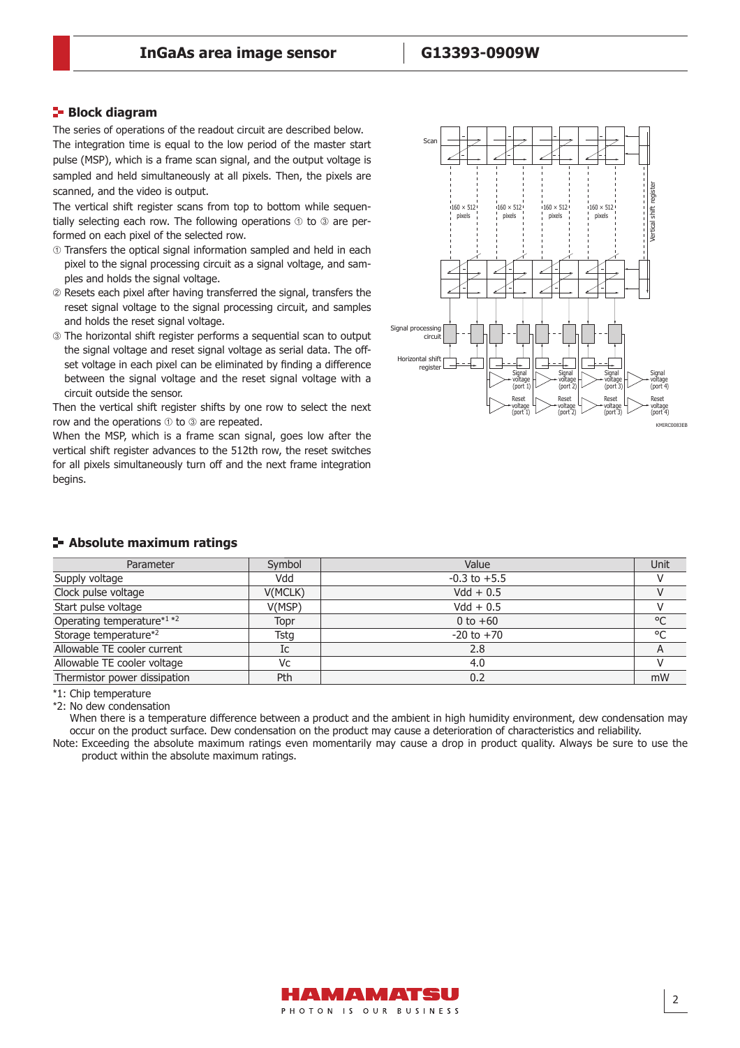#### **Block diagram**

The series of operations of the readout circuit are described below. The integration time is equal to the low period of the master start pulse (MSP), which is a frame scan signal, and the output voltage is sampled and held simultaneously at all pixels. Then, the pixels are scanned, and the video is output.

The vertical shift register scans from top to bottom while sequentially selecting each row. The following operations  $\odot$  to  $\odot$  are performed on each pixel of the selected row.

- Transfers the optical signal information sampled and held in each pixel to the signal processing circuit as a signal voltage, and samples and holds the signal voltage.
- Resets each pixel after having transferred the signal, transfers the reset signal voltage to the signal processing circuit, and samples and holds the reset signal voltage.
- The horizontal shift register performs a sequential scan to output the signal voltage and reset signal voltage as serial data. The offset voltage in each pixel can be eliminated by finding a difference between the signal voltage and the reset signal voltage with a circuit outside the sensor.

Then the vertical shift register shifts by one row to select the next row and the operations  $\odot$  to  $\odot$  are repeated.

When the MSP, which is a frame scan signal, goes low after the vertical shift register advances to the 512th row, the reset switches for all pixels simultaneously turn off and the next frame integration begins.



|  | - Absolute maximum ratings |  |
|--|----------------------------|--|
|  |                            |  |

| Parameter                    | Symbol  | Value            | Unit    |
|------------------------------|---------|------------------|---------|
| Supply voltage               | Vdd     | $-0.3$ to $+5.5$ |         |
| Clock pulse voltage          | V(MCLK) | $Vdd + 0.5$      |         |
| Start pulse voltage          | V(MSP)  | $Vdd + 0.5$      |         |
| Operating temperature*1 *2   | Topr    | 0 to $+60$       | °C      |
| Storage temperature*2        | Tstg    | $-20$ to $+70$   | $\circ$ |
| Allowable TE cooler current  | Ic      | 2.8              |         |
| Allowable TE cooler voltage  | Vc      | 4.0              |         |
| Thermistor power dissipation | Pth     | 0.2              | mW      |

\*1: Chip temperature

\*2: No dew condensation

When there is a temperature difference between a product and the ambient in high humidity environment, dew condensation may occur on the product surface. Dew condensation on the product may cause a deterioration of characteristics and reliability.

Note: Exceeding the absolute maximum ratings even momentarily may cause a drop in product quality. Always be sure to use the product within the absolute maximum ratings.

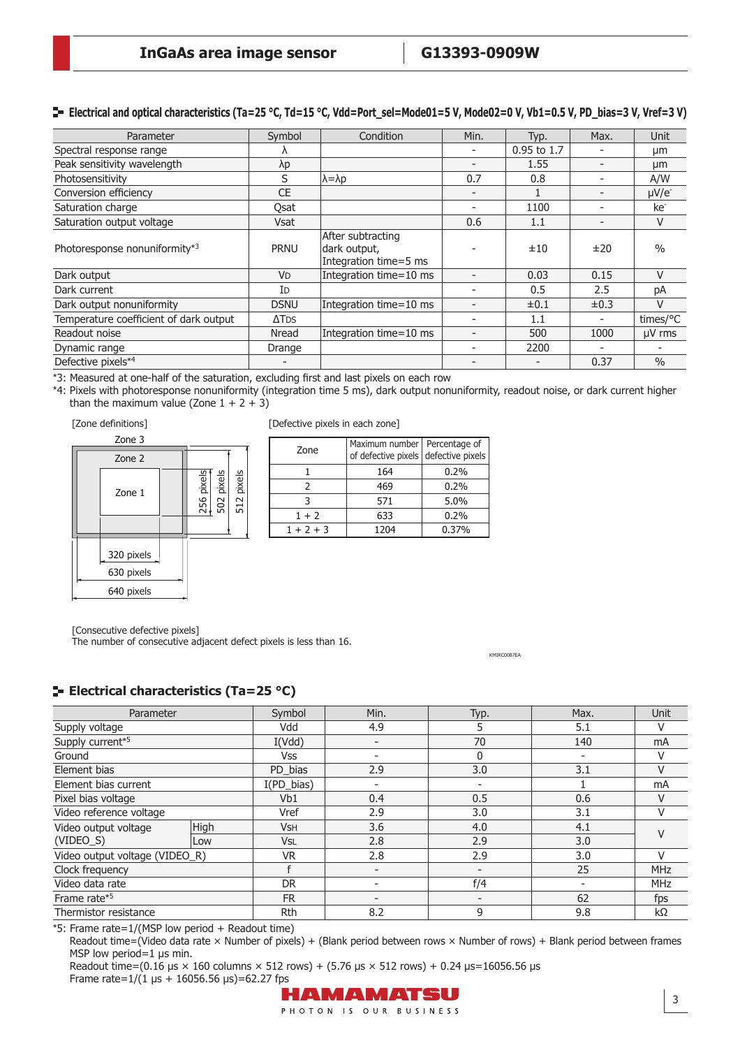#### **E** Electrical and optical characteristics (Ta=25 °C, Td=15 °C, Vdd=Port\_sel=Mode01=5 V, Mode02=0 V, Vb1=0.5 V, PD\_bias=3 V, Vref=3 V)

| Parameter                              | Symbol           | Condition                                                  | Min. | Typ.        | Max.                     | Unit                   |
|----------------------------------------|------------------|------------------------------------------------------------|------|-------------|--------------------------|------------------------|
| Spectral response range                |                  |                                                            |      | 0.95 to 1.7 |                          | μm                     |
| Peak sensitivity wavelength            | λp               |                                                            |      | 1.55        |                          | μm                     |
| Photosensitivity                       | S                | $\lambda = \lambda p$                                      | 0.7  | 0.8         |                          | A/W                    |
| Conversion efficiency                  | <b>CE</b>        |                                                            |      |             | $\overline{\phantom{a}}$ | $\mu$ V/e <sup>-</sup> |
| Saturation charge                      | Qsat             |                                                            |      | 1100        |                          | ke <sup>-</sup>        |
| Saturation output voltage              | <b>Vsat</b>      |                                                            | 0.6  | 1.1         |                          | V                      |
| Photoresponse nonuniformity*3          | <b>PRNU</b>      | After subtracting<br>dark output,<br>Integration time=5 ms |      | ±10         | ±20                      | $\frac{0}{0}$          |
| Dark output                            | <b>VD</b>        | Integration time=10 ms                                     |      | 0.03        | 0.15                     | $\vee$                 |
| Dark current                           | Id               |                                                            |      | 0.5         | 2.5                      | pA                     |
| Dark output nonuniformity              | <b>DSNU</b>      | Integration time=10 ms                                     |      | $\pm 0.1$   | $\pm 0.3$                | $\vee$                 |
| Temperature coefficient of dark output | ΔT <sub>DS</sub> |                                                            |      | 1.1         |                          | times/°C               |
| Readout noise                          | Nread            | Integration time=10 ms                                     |      | 500         | 1000                     | $\mu$ V rms            |
| Dynamic range                          | Drange           |                                                            |      | 2200        |                          |                        |
| Defective pixels*4                     |                  |                                                            |      |             | 0.37                     | $\frac{0}{0}$          |

\*3: Measured at one-half of the saturation, excluding fi rst and last pixels on each row

\*4: Pixels with photoresponse nonuniformity (integration time 5 ms), dark output nonuniformity, readout noise, or dark current higher than the maximum value (Zone  $1 + 2 + 3$ )





[Defective pixels in each zone]

| Zone        | Maximum number   Percentage of<br>of defective pixels defective pixels |       |
|-------------|------------------------------------------------------------------------|-------|
|             | 164                                                                    | 0.2%  |
| Ͻ.          | 469                                                                    | 0.2%  |
|             | 571                                                                    | 5.0%  |
| $1 + 2$     | 633                                                                    | 0.2%  |
| $1 + 2 + 3$ | 1204                                                                   | 0.37% |

[Consecutive defective pixels]

The number of consecutive adjacent defect pixels is less than 16.

KMIRC0087EA

#### **ELECTRICAL CHARACTERIST (Ta=25 °C)**

| Parameter                      |             | Symbol                | Min.                     | Typ.                     | Max.                     | <b>Unit</b> |
|--------------------------------|-------------|-----------------------|--------------------------|--------------------------|--------------------------|-------------|
| Supply voltage                 |             | Vdd                   | 4.9                      | 5                        | 5.1                      | V           |
| Supply current*5               |             | I(Vdd)                | $\overline{\phantom{a}}$ | 70                       | 140                      | mA          |
| Ground                         |             | Vss                   | -                        | $\mathbf{0}$             | $\overline{\phantom{a}}$ | V           |
| Element bias                   |             | PD_bias               | 2.9                      | 3.0                      | 3.1                      | $\vee$      |
| Element bias current           |             | $I(PD\_bias)$         | $\overline{\phantom{a}}$ | $\overline{\phantom{a}}$ |                          | mA          |
| Pixel bias voltage             |             | Vb1                   | 0.4                      | 0.5                      | 0.6                      | $\vee$      |
| Video reference voltage        |             | Vref                  | 2.9                      | 3.0                      | 3.1                      | V           |
| Video output voltage           | <b>High</b> | <b>V<sub>SH</sub></b> | 3.6                      | 4.0                      | 4.1                      | $\vee$      |
| $(VIDEO_S)$                    | Low         | V <sub>SL</sub>       | 2.8                      | 2.9                      | 3.0                      |             |
| Video output voltage (VIDEO_R) |             | <b>VR</b>             | 2.8                      | 2.9                      | 3.0                      | V           |
| Clock frequency                |             |                       |                          | $\overline{\phantom{a}}$ | 25                       | <b>MHz</b>  |
| Video data rate                |             | DR.                   | $\overline{\phantom{0}}$ | f/4                      |                          | <b>MHz</b>  |
| Frame rate*5                   |             | <b>FR</b>             | $\overline{\phantom{0}}$ |                          | 62                       | fps         |
| Thermistor resistance          |             | Rth                   | 8.2                      | 9                        | 9.8                      | $k\Omega$   |

\*5: Frame rate= $1/(MSP)$  low period + Readout time)

Readout time=(Video data rate × Number of pixels) + (Blank period between rows × Number of rows) + Blank period between frames MSP low period=1 μs min.

Readout time=(0.16 μs  $\times$  160 columns  $\times$  512 rows) + (5.76 μs  $\times$  512 rows) + 0.24 μs=16056.56 μs Frame rate= $1/(1 \text{ }\mu\text{s} + 16056.56 \text{ }\mu\text{s}) = 62.27 \text{ } \text{fps}$ 

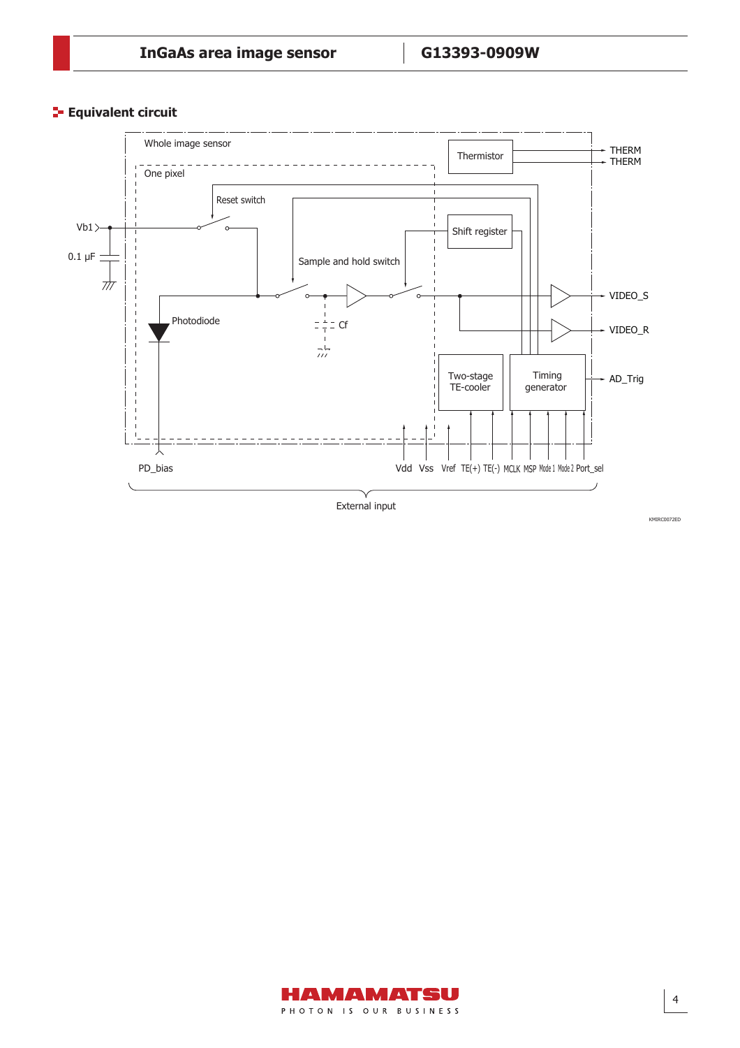**Equivalent circuit** 



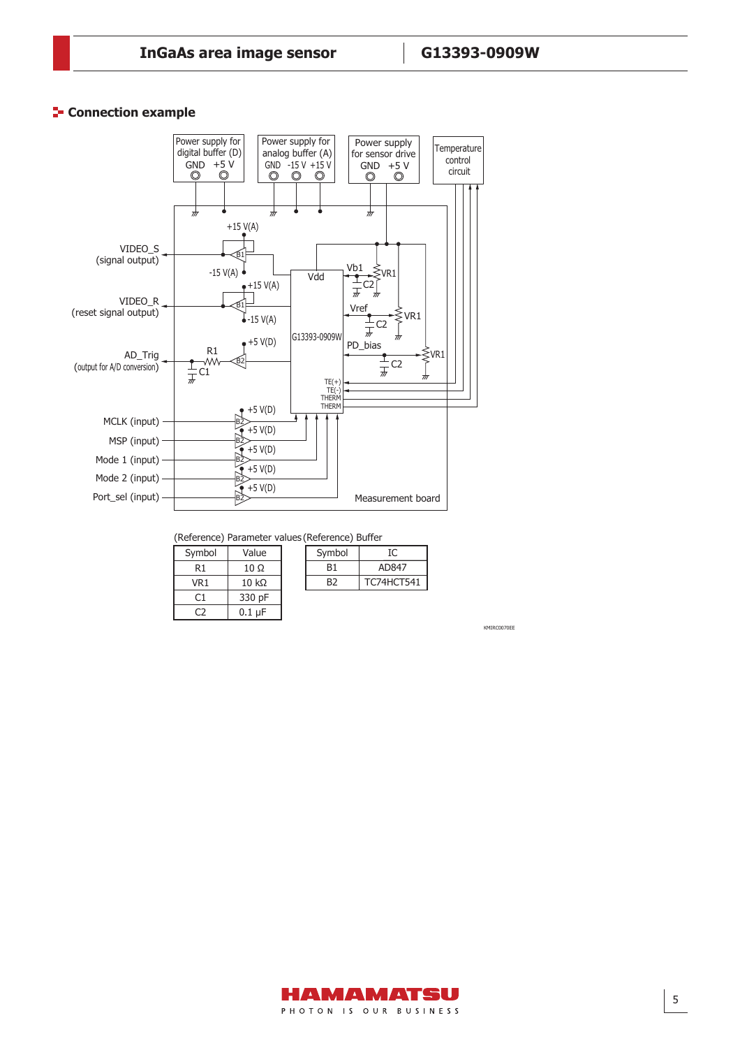#### **Connection example**



(Reference) Parameter values(Reference) Buffer

B<sub>1</sub>  $\overline{B2}$ 

AD847 TC74HCT541

IC

Symbol

| Symbol | Value        |
|--------|--------------|
| R1     | 10 Ω         |
| VR1    | $10 k\Omega$ |
| C1     | 330 pF       |
|        | $0.1 \mu F$  |

| KMIRC0070EE |  |  |
|-------------|--|--|
|             |  |  |

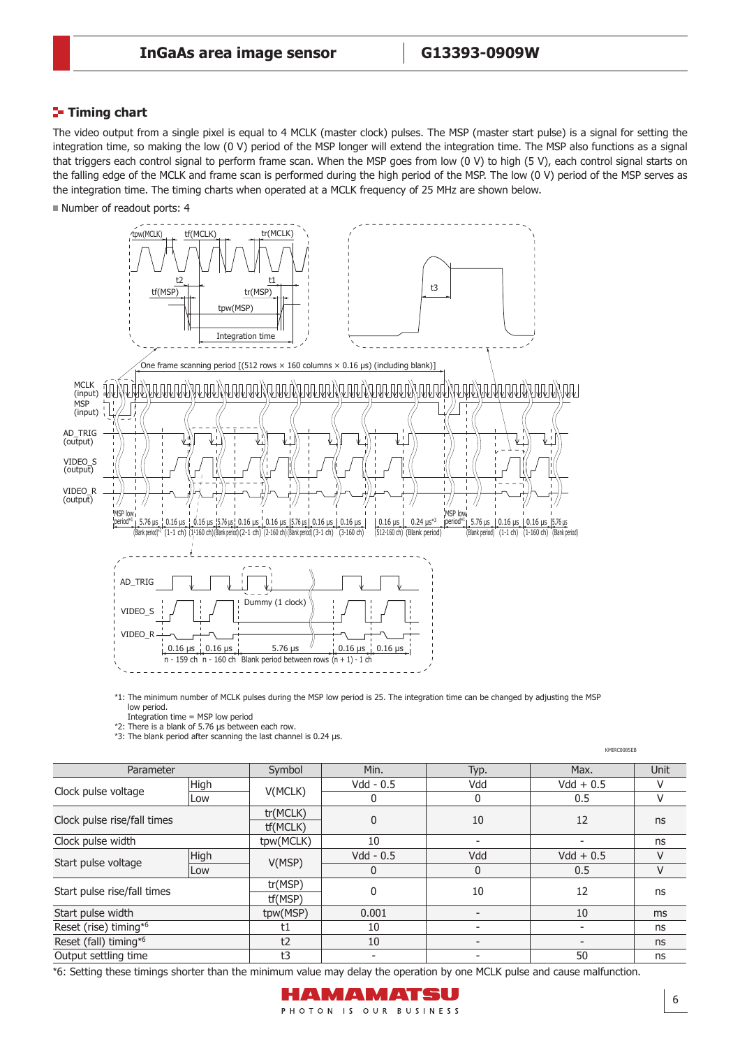#### **Timing chart**

The video output from a single pixel is equal to 4 MCLK (master clock) pulses. The MSP (master start pulse) is a signal for setting the integration time, so making the low (0 V) period of the MSP longer will extend the integration time. The MSP also functions as a signal that triggers each control signal to perform frame scan. When the MSP goes from low (0 V) to high (5 V), each control signal starts on the falling edge of the MCLK and frame scan is performed during the high period of the MSP. The low (0 V) period of the MSP serves as the integration time. The timing charts when operated at a MCLK frequency of 25 MHz are shown below.

Number of readout ports: 4



\*1: The minimum number of MCLK pulses during the MSP low period is 25. The integration time can be changed by adjusting the MSP low period.

Integration time = MSP low period \*2: There is a blank of 5.76 μs between each row.

\*3: The blank period after scanning the last channel is 0.24 μs.

|                             |      |                      |                          |                          | KMIRC0085EB              |             |
|-----------------------------|------|----------------------|--------------------------|--------------------------|--------------------------|-------------|
| Parameter                   |      | Symbol               | Min.                     | Typ.                     | Max.                     | <b>Unit</b> |
|                             | High |                      | $Vdd - 0.5$              | Vdd                      | $Vdd + 0.5$              | V           |
| Clock pulse voltage         | Low  | V(MCLK)              | 0                        | $\mathbf 0$              | 0.5                      | $\vee$      |
| Clock pulse rise/fall times |      | tr(MCLK)<br>tf(MCLK) | $\mathbf{0}$             | 10                       | 12                       | ns          |
| Clock pulse width           |      | tpw(MCLK)            | 10                       | $\overline{\phantom{0}}$ | $\overline{\phantom{0}}$ | ns          |
|                             | High | V(MSP)               | $Vdd - 0.5$              | Vdd                      | $Vdd + 0.5$              | V           |
| Start pulse voltage         | Low  |                      | 0                        | 0                        | 0.5                      | V           |
| Start pulse rise/fall times |      | tr(MSP)<br>tf(MSP)   | 0                        | 10                       | 12                       | ns          |
| Start pulse width           |      | tpw(MSP)             | 0.001                    | $\overline{\phantom{a}}$ | 10                       | ms          |
| Reset (rise) timing*6       |      | t1                   | 10                       | $\overline{\phantom{a}}$ | -                        | ns          |
| Reset (fall) timing*6       |      | t2                   | 10                       | $\overline{\phantom{a}}$ |                          | ns          |
| Output settling time        |      | t3                   | $\overline{\phantom{a}}$ | -                        | 50                       | ns          |

\*6: Setting these timings shorter than the minimum value may delay the operation by one MCLK pulse and cause malfunction.

# HAMAMATSU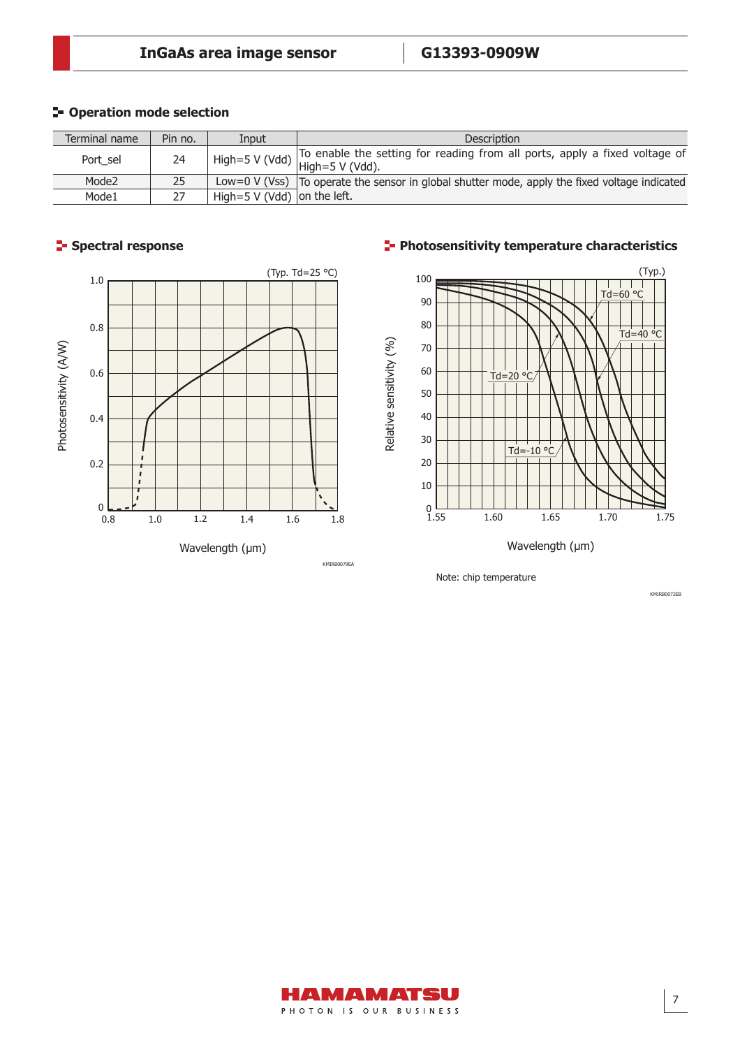### $P$ **- Operation mode selection**

| Terminal name     | Pin no. | Input                       | <b>Description</b>                                                                                                               |
|-------------------|---------|-----------------------------|----------------------------------------------------------------------------------------------------------------------------------|
| Port sel          | 24      |                             | To enable the setting for reading from all ports, apply a fixed voltage of<br>.   High=5 V (Vdd) $\vert$ High=5 <u>V (Vdd</u> ). |
| Mode <sub>2</sub> | 25      |                             | Low=0 V (Vss) $\vert$ To operate the sensor in global shutter mode, apply the fixed voltage indicated                            |
| Mode1             |         | High=5 V (Vdd) on the left. |                                                                                                                                  |

### **Spectral response**



#### **Photosensitivity temperature characteristics**



Wavelength (μm)

Note: chip temperature

KMIRB0072EB

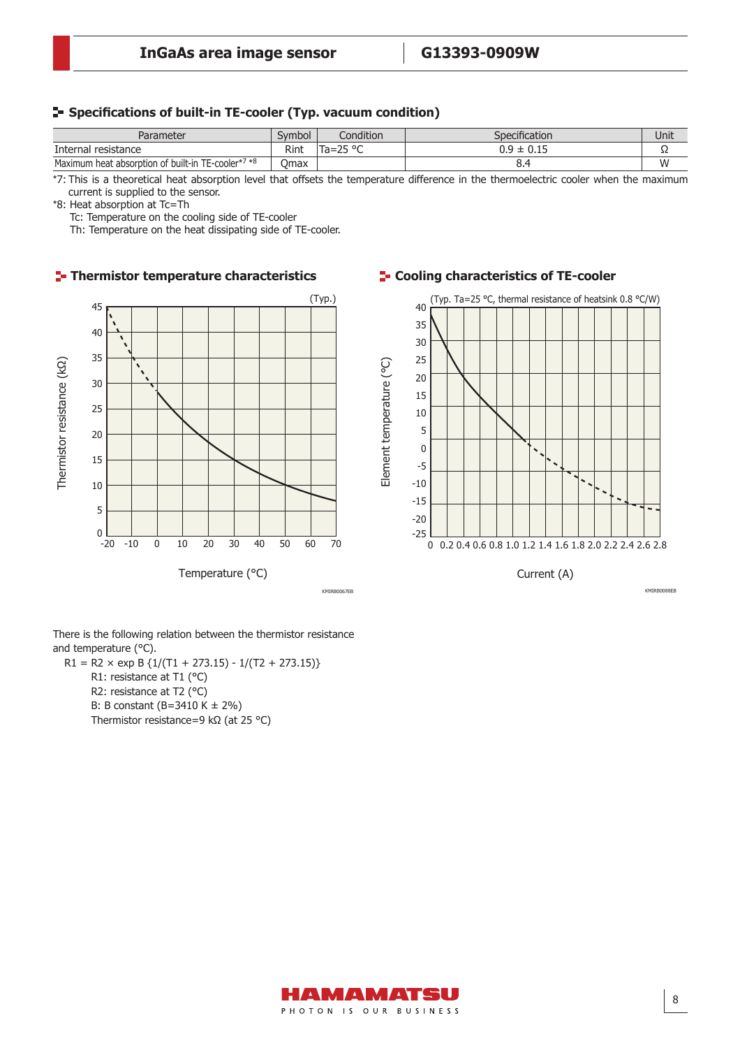#### **Specifi cations of built-in TE-cooler (Typ. vacuum condition)**

| Parameter                                                         | Symbol | Condition                  | Specification     | Unit |
|-------------------------------------------------------------------|--------|----------------------------|-------------------|------|
| Internal resistance                                               | Rint   | $T_{2-}$<br>חם הר<br>id=25 | ם ר<br>◡…<br>ັບເປ | --   |
| TE-cooler* <sup>7</sup> *8<br>Maximum heat absorption of built-in | Omax   |                            | ∪.⊣               | w    |

\*7: This is a theoretical heat absorption level that offsets the temperature difference in the thermoelectric cooler when the maximum current is supplied to the sensor.

\*8: Heat absorption at Tc=Th

Tc: Temperature on the cooling side of TE-cooler

Th: Temperature on the heat dissipating side of TE-cooler.

#### **Thermistor temperature characteristics Cooling characteristics of TE-cooler**



There is the following relation between the thermistor resistance and temperature (°C).

 $R1 = R2 \times exp B \{1/(T1 + 273.15) - 1/(T2 + 273.15)\}$ R1: resistance at T1 (°C) R2: resistance at T2 (°C) B: B constant (B=3410 K ± 2%) Thermistor resistance=9 kΩ (at 25 °C)



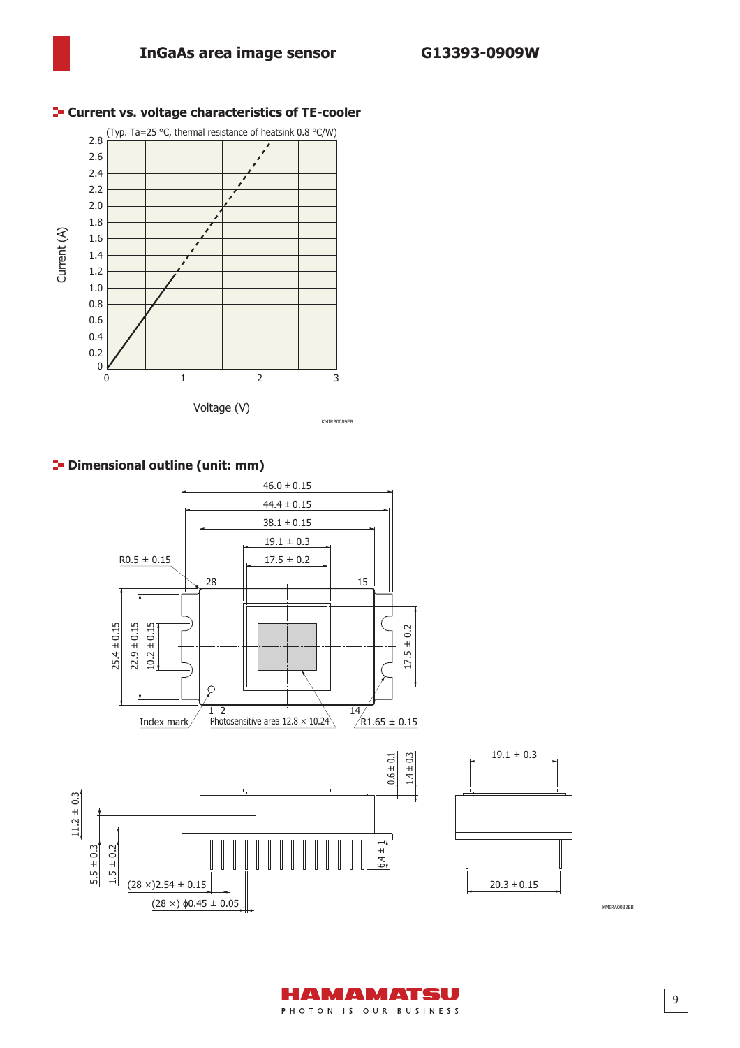

#### **F-** Current vs. voltage characteristics of TE-cooler







KMIRA0032EB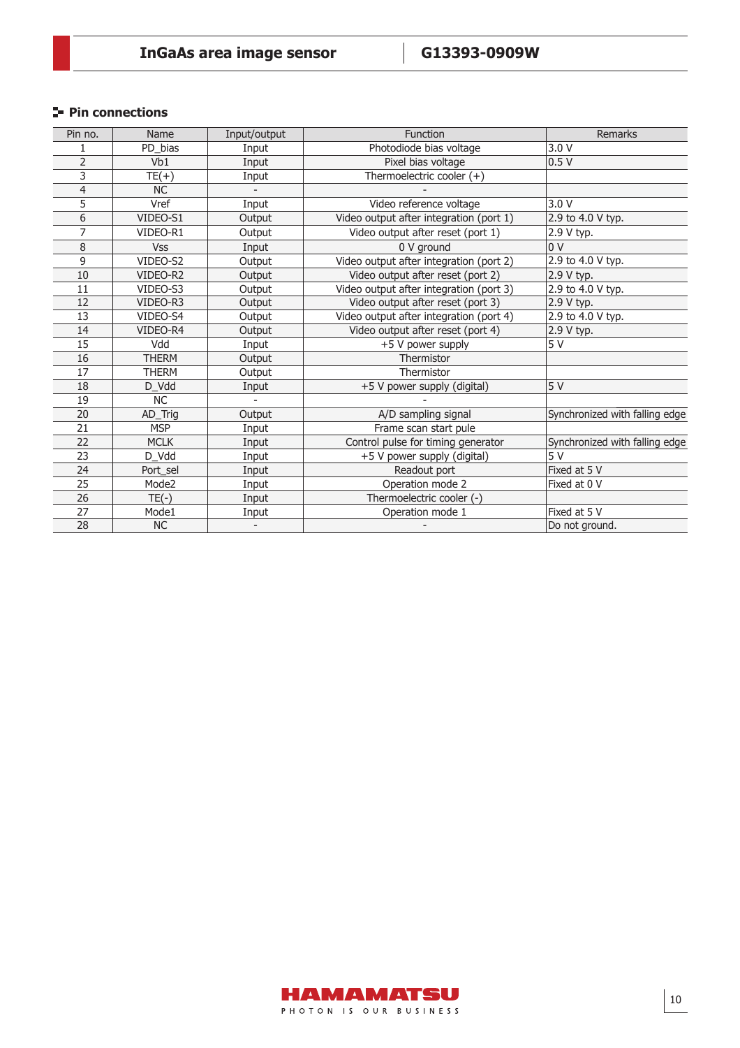### **Pin connections**

| Pin no.        | Name         | Input/output | Function                                | Remarks                        |
|----------------|--------------|--------------|-----------------------------------------|--------------------------------|
|                | PD_bias      | Input        | Photodiode bias voltage                 | 3.0V                           |
| $\overline{2}$ | Vb1          | Input        | Pixel bias voltage                      | 0.5V                           |
| 3              | $TE(+)$      | Input        | Thermoelectric cooler (+)               |                                |
| 4              | <b>NC</b>    |              |                                         |                                |
| 5              | Vref         | Input        | Video reference voltage                 | 3.0V                           |
| 6              | VIDEO-S1     | Output       | Video output after integration (port 1) | 2.9 to 4.0 V typ.              |
| 7              | VIDEO-R1     | Output       | Video output after reset (port 1)       | 2.9 V typ.                     |
| 8              | <b>Vss</b>   | Input        | 0 V ground                              | 0 <sup>V</sup>                 |
| 9              | VIDEO-S2     | Output       | Video output after integration (port 2) | 2.9 to 4.0 V typ.              |
| 10             | VIDEO-R2     | Output       | Video output after reset (port 2)       | 2.9 V typ.                     |
| 11             | VIDEO-S3     | Output       | Video output after integration (port 3) | 2.9 to 4.0 V typ.              |
| 12             | VIDEO-R3     | Output       | Video output after reset (port 3)       | 2.9 V typ.                     |
| 13             | VIDEO-S4     | Output       | Video output after integration (port 4) | 2.9 to 4.0 V typ.              |
| 14             | VIDEO-R4     | Output       | Video output after reset (port 4)       | 2.9 V typ.                     |
| 15             | Vdd          | Input        | +5 V power supply                       | 5 V                            |
| 16             | <b>THERM</b> | Output       | Thermistor                              |                                |
| 17             | <b>THERM</b> | Output       | Thermistor                              |                                |
| 18             | D_Vdd        | Input        | +5 V power supply (digital)             | 5V                             |
| 19             | <b>NC</b>    |              |                                         |                                |
| 20             | AD_Trig      | Output       | A/D sampling signal                     | Synchronized with falling edge |
| 21             | <b>MSP</b>   | Input        | Frame scan start pule                   |                                |
| 22             | <b>MCLK</b>  | Input        | Control pulse for timing generator      | Synchronized with falling edge |
| 23             | D Vdd        | Input        | +5 V power supply (digital)             | 5V                             |
| 24             | Port sel     | Input        | Readout port                            | Fixed at 5 V                   |
| 25             | Mode2        | Input        | Operation mode 2                        | Fixed at 0 V                   |
| 26             | $TE(-)$      | Input        | Thermoelectric cooler (-)               |                                |
| 27             | Mode1        | Input        | Operation mode 1                        | Fixed at 5 V                   |
| 28             | NC           |              |                                         | Do not ground.                 |